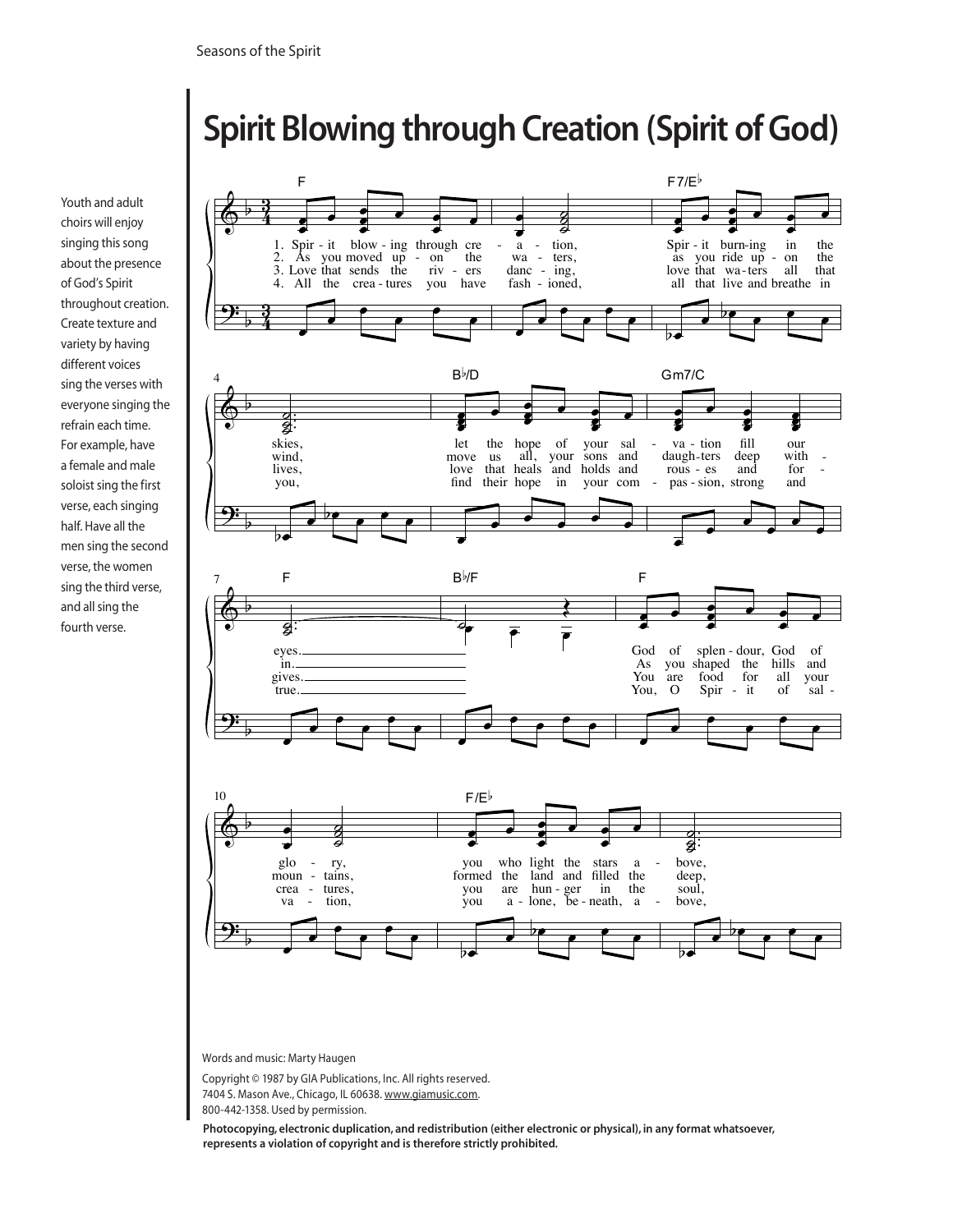## Spirit Blowing through Creation (Spirit of God)

Youth and adult choirs will enjoy singing this song about the presence of God's Spirit throughout creation. Create texture and variety by having different voices sing the verses with everyone singing the refrain each time. For example, have a female and male soloist sing the first verse, each singing half. Have all the men sing the second verse, the women sing the third verse, and all sing the fourth verse.



Words and music: Marty Haugen

Copyright © 1987 by GIA Publications, Inc. All rights reserved. 7404 S. Mason Ave., Chicago, IL 60638. www.giamusic.com. 800-442-1358. Used by permission.

Photocopying, electronic duplication, and redistribution (either electronic or physical), in any format whatsoever, represents a violation of copyright and is therefore strictly prohibited.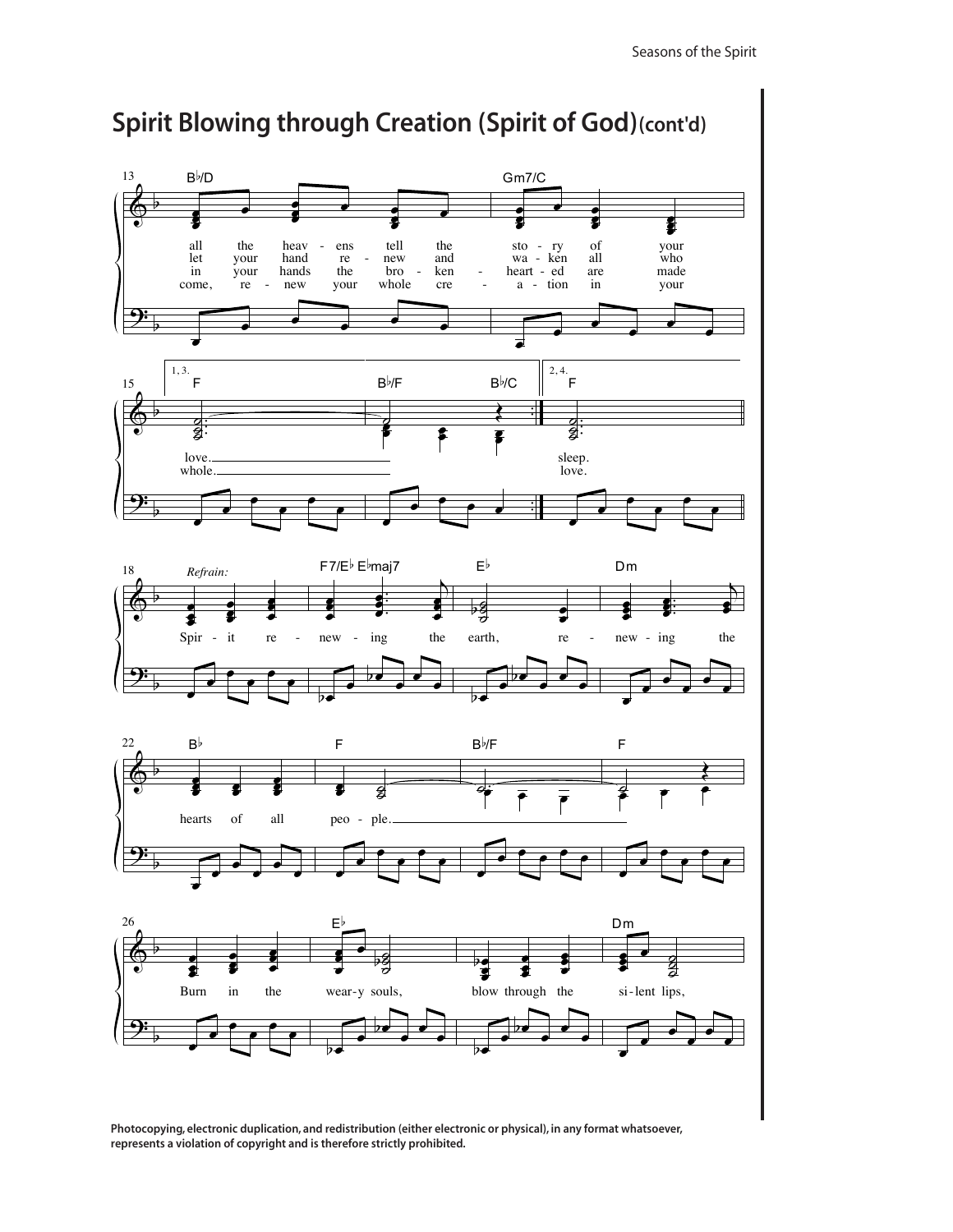

Photocopying, electronic duplication, and redistribution (either electronic or physical), in any format whatsoever, represents a violation of copyright and is therefore strictly prohibited.